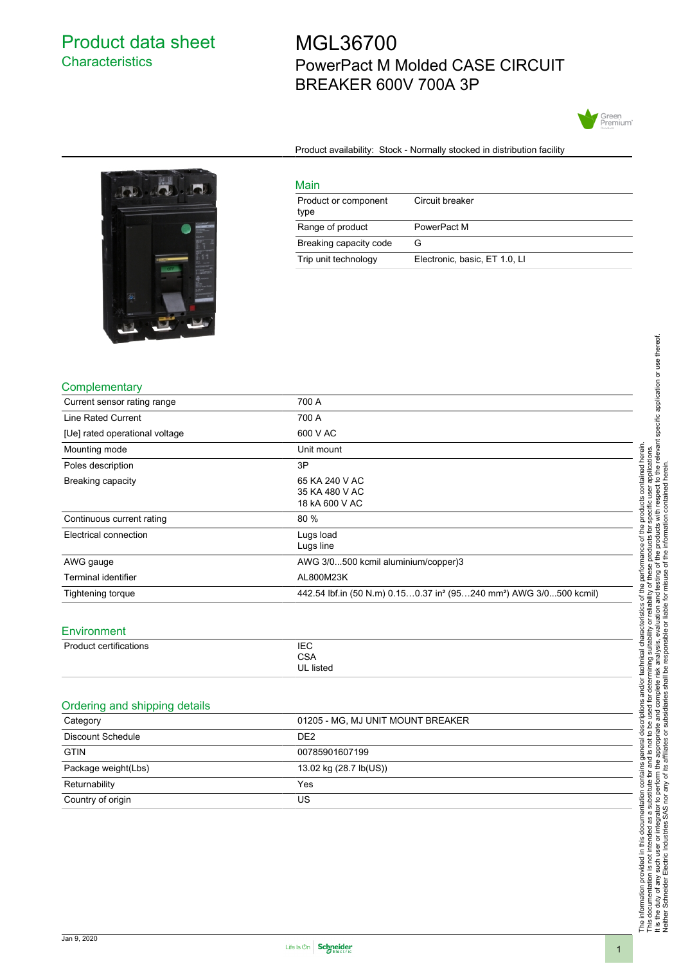# Product data sheet **Characteristics**

# MGL36700 PowerPact M Molded CASE CIRCUIT BREAKER 600V 700A 3P



Product availability: Stock - Normally stocked in distribution facility



| Main                         |                               |  |
|------------------------------|-------------------------------|--|
| Product or component<br>type | Circuit breaker               |  |
| Range of product             | PowerPact M                   |  |
| Breaking capacity code       | G                             |  |
| Trip unit technology         | Electronic, basic, ET 1.0, LI |  |
|                              |                               |  |

#### **Complementary**

| <u> - -</u>                    |                                                                                            |
|--------------------------------|--------------------------------------------------------------------------------------------|
| Current sensor rating range    | 700 A                                                                                      |
| Line Rated Current             | 700 A                                                                                      |
| [Ue] rated operational voltage | 600 V AC                                                                                   |
| Mounting mode                  | Unit mount                                                                                 |
| Poles description              | 3P                                                                                         |
| Breaking capacity              | 65 KA 240 V AC<br>35 KA 480 V AC<br>18 kA 600 V AC                                         |
| Continuous current rating      | 80 %                                                                                       |
| Electrical connection          | Lugs load<br>Lugs line                                                                     |
| AWG gauge                      | AWG 3/0500 kcmil aluminium/copper)3                                                        |
| Terminal identifier            | AL800M23K                                                                                  |
| Tightening torque              | 442.54 lbf.in (50 N.m) 0.150.37 in <sup>2</sup> (95240 mm <sup>2</sup> ) AWG 3/0500 kcmil) |
|                                |                                                                                            |

#### **Environment**

| Product certifications | <b>IEC</b><br>CSA |
|------------------------|-------------------|
|                        | UL listed         |

### Ordering and shipping details

| 01205 - MG, MJ UNIT MOUNT BREAKER |
|-----------------------------------|
| DE <sub>2</sub>                   |
| 00785901607199                    |
| 13.02 kg (28.7 lb(US))            |
| Yes                               |
| US                                |
|                                   |